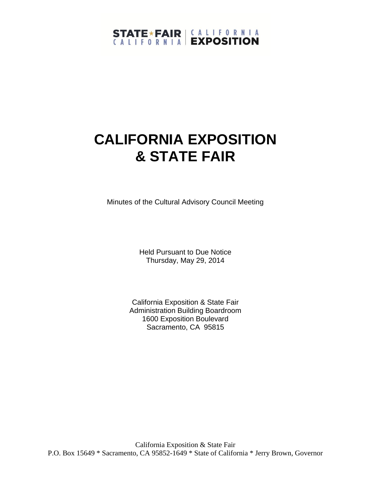# STATE \* FAIR | CALLEORNIA

# **CALIFORNIA EXPOSITION & STATE FAIR**

Minutes of the Cultural Advisory Council Meeting

Held Pursuant to Due Notice Thursday, May 29, 2014

California Exposition & State Fair Administration Building Boardroom 1600 Exposition Boulevard Sacramento, CA 95815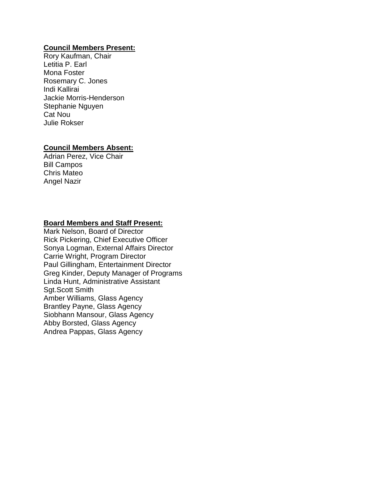#### **Council Members Present:**

Rory Kaufman, Chair Letitia P. Earl Mona Foster Rosemary C. Jones Indi Kallirai Jackie Morris-Henderson Stephanie Nguyen Cat Nou Julie Rokser

#### **Council Members Absent:**

Adrian Perez, Vice Chair Bill Campos Chris Mateo Angel Nazir

#### **Board Members and Staff Present:**

Mark Nelson, Board of Director Rick Pickering, Chief Executive Officer Sonya Logman, External Affairs Director Carrie Wright, Program Director Paul Gillingham, Entertainment Director Greg Kinder, Deputy Manager of Programs Linda Hunt, Administrative Assistant Sgt.Scott Smith Amber Williams, Glass Agency Brantley Payne, Glass Agency Siobhann Mansour, Glass Agency Abby Borsted, Glass Agency Andrea Pappas, Glass Agency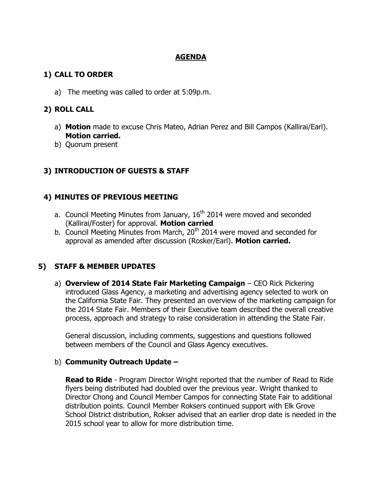#### **AGENDA**

#### **1) CALL TO ORDER**

a) The meeting was called to order at 5:09p.m.

## **2) ROLL CALL**

- a) **Motion** made to excuse Chris Mateo, Adrian Perez and Bill Campos (Kallirai/Earl). **Motion carried.**
- b) Quorum present

# **3) INTRODUCTION OF GUESTS & STAFF**

# **4) MINUTES OF PREVIOUS MEETING**

- a. Council Meeting Minutes from January,  $16<sup>th</sup>$  2014 were moved and seconded (Kallirai/Foster) for approval. **Motion carried**
- b. Council Meeting Minutes from March,  $20<sup>th</sup>$  2014 were moved and seconded for approval as amended after discussion (Rosker/Earl). **Motion carried.**

### **5) STAFF & MEMBER UPDATES**

a) **Overview of 2014 State Fair Marketing Campaign** – CEO Rick Pickering introduced Glass Agency, a marketing and advertising agency selected to work on the California State Fair. They presented an overview of the marketing campaign for the 2014 State Fair. Members of their Executive team described the overall creative process, approach and strategy to raise consideration in attending the State Fair.

General discussion, including comments, suggestions and questions followed between members of the Council and Glass Agency executives.

### b) **Community Outreach Update –**

**Read to Ride** - Program Director Wright reported that the number of Read to Ride flyers being distributed had doubled over the previous year. Wright thanked to Director Chong and Council Member Campos for connecting State Fair to additional distribution points. Council Member Roksers continued support with Elk Grove School District distribution, Rokser advised that an earlier drop date is needed in the 2015 school year to allow for more distribution time.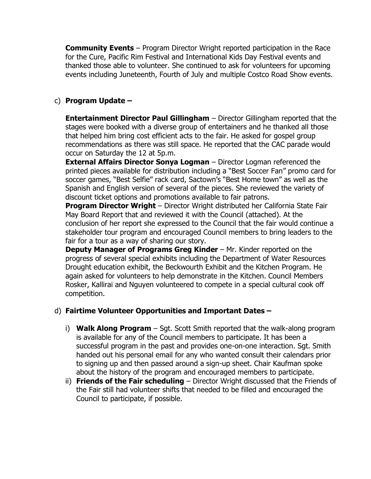**Community Events** – Program Director Wright reported participation in the Race for the Cure, Pacific Rim Festival and International Kids Day Festival events and thanked those able to volunteer. She continued to ask for volunteers for upcoming events including Juneteenth, Fourth of July and multiple Costco Road Show events.

### c) **Program Update –**

**Entertainment Director Paul Gillingham** – Director Gillingham reported that the stages were booked with a diverse group of entertainers and he thanked all those that helped him bring cost efficient acts to the fair. He asked for gospel group recommendations as there was still space. He reported that the CAC parade would occur on Saturday the 12 at 5p.m.

**External Affairs Director Sonya Logman** – Director Logman referenced the printed pieces available for distribution including a "Best Soccer Fan" promo card for soccer games, "Best Selfie" rack card, Sactown's "Best Home town" as well as the Spanish and English version of several of the pieces. She reviewed the variety of discount ticket options and promotions available to fair patrons.

**Program Director Wright** – Director Wright distributed her California State Fair May Board Report that and reviewed it with the Council (attached). At the conclusion of her report she expressed to the Council that the fair would continue a stakeholder tour program and encouraged Council members to bring leaders to the fair for a tour as a way of sharing our story.

**Deputy Manager of Programs Greg Kinder** – Mr. Kinder reported on the progress of several special exhibits including the Department of Water Resources Drought education exhibit, the Beckwourth Exhibit and the Kitchen Program. He again asked for volunteers to help demonstrate in the Kitchen. Council Members Rosker, Kallirai and Nguyen volunteered to compete in a special cultural cook off competition.

### d) **Fairtime Volunteer Opportunities and Important Dates –**

- i) **Walk Along Program** Sgt. Scott Smith reported that the walk-along program is available for any of the Council members to participate. It has been a successful program in the past and provides one-on-one interaction. Sgt. Smith handed out his personal email for any who wanted consult their calendars prior to signing up and then passed around a sign-up sheet. Chair Kaufman spoke about the history of the program and encouraged members to participate.
- ii) **Friends of the Fair scheduling** Director Wright discussed that the Friends of the Fair still had volunteer shifts that needed to be filled and encouraged the Council to participate, if possible.